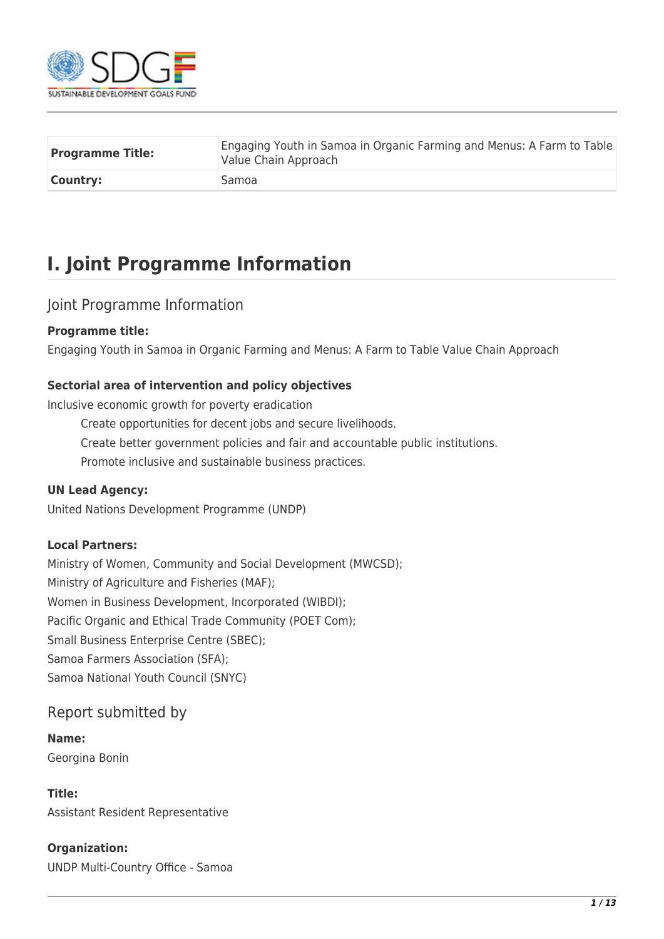

| <b>Programme Title:</b> | Engaging Youth in Samoa in Organic Farming and Menus: A Farm to Table<br>Value Chain Approach |
|-------------------------|-----------------------------------------------------------------------------------------------|
| <b>Country:</b>         | Samoa                                                                                         |

# **I. Joint Programme Information**

# Joint Programme Information

#### **Programme title:**

Engaging Youth in Samoa in Organic Farming and Menus: A Farm to Table Value Chain Approach

#### **Sectorial area of intervention and policy objectives**

Inclusive economic growth for poverty eradication

- Create opportunities for decent jobs and secure livelihoods.
- Create better government policies and fair and accountable public institutions.
- Promote inclusive and sustainable business practices.

#### **UN Lead Agency:**

United Nations Development Programme (UNDP)

#### **Local Partners:**

Ministry of Women, Community and Social Development (MWCSD); Ministry of Agriculture and Fisheries (MAF); Women in Business Development, Incorporated (WIBDI); Pacific Organic and Ethical Trade Community (POET Com); Small Business Enterprise Centre (SBEC); Samoa Farmers Association (SFA); Samoa National Youth Council (SNYC)

### Report submitted by

#### **Name:**

Georgina Bonin

#### **Title:**

Assistant Resident Representative

#### **Organization:**

UNDP Multi-Country Office - Samoa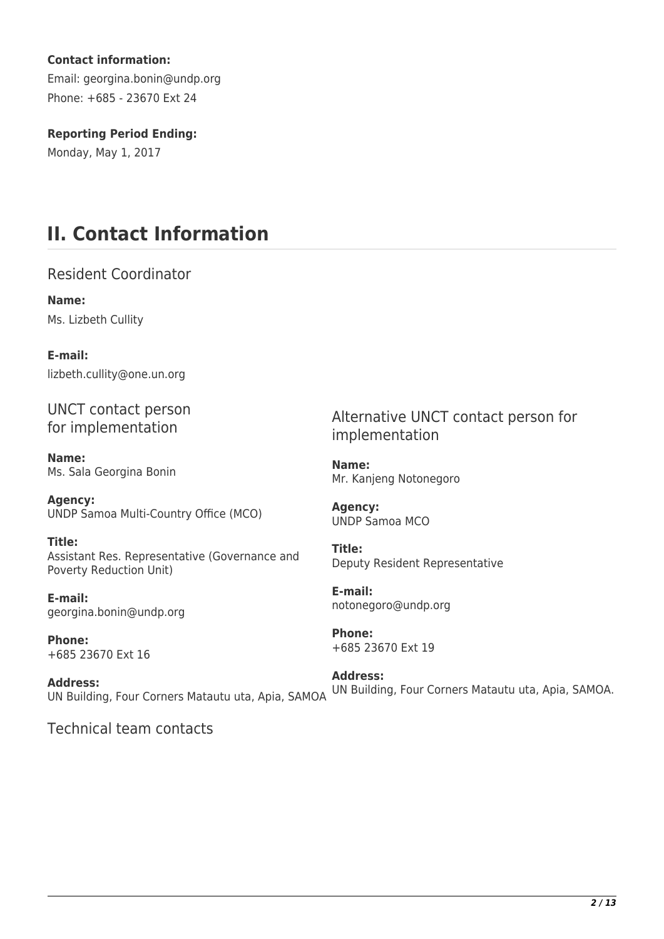#### **Contact information:**

Email: georgina.bonin@undp.org Phone: +685 - 23670 Ext 24

### **Reporting Period Ending:**

Monday, May 1, 2017

# **II. Contact Information**

Resident Coordinator

**Name:**  Ms. Lizbeth Cullity

**E-mail:**  lizbeth.cullity@one.un.org

UNCT contact person for implementation

**Name:**  Ms. Sala Georgina Bonin

**Agency:**  UNDP Samoa Multi-Country Office (MCO)

**Title:**  Assistant Res. Representative (Governance and Poverty Reduction Unit)

**E-mail:**  georgina.bonin@undp.org

**Phone:**  +685 23670 Ext 16

**Address:**  UN Building, Four Corners Matautu uta, Apia, SAMOA

Alternative UNCT contact person for implementation

**Name:**  Mr. Kanjeng Notonegoro

**Agency:**  UNDP Samoa MCO

**Title:**  Deputy Resident Representative

**E-mail:**  notonegoro@undp.org

**Phone:**  +685 23670 Ext 19

**Address:**  UN Building, Four Corners Matautu uta, Apia, SAMOA.

Technical team contacts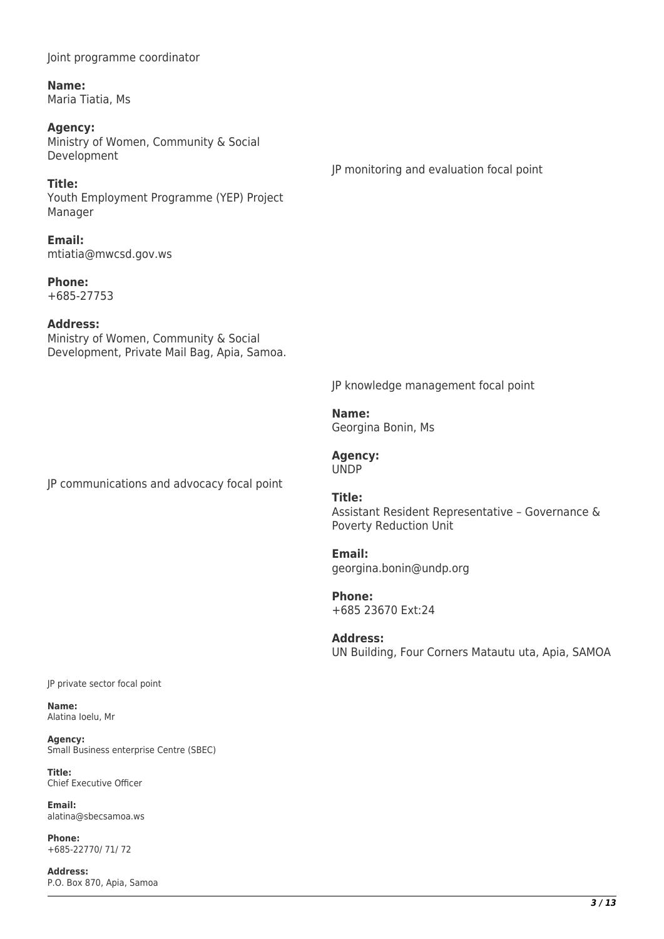Joint programme coordinator

**Name:**  Maria Tiatia, Ms

## **Agency:**

Ministry of Women, Community & Social Development

#### **Title:**

Youth Employment Programme (YEP) Project Manager

**Email:**  mtiatia@mwcsd.gov.ws

**Phone:**  +685-27753

#### **Address:**

Ministry of Women, Community & Social Development, Private Mail Bag, Apia, Samoa.

JP knowledge management focal point

**Name:**  Georgina Bonin, Ms

**Agency:**  UNDP

JP communications and advocacy focal point

**Title:**  Assistant Resident Representative – Governance & Poverty Reduction Unit

**Email:**  georgina.bonin@undp.org

**Phone:**  +685 23670 Ext:24

**Address:**  UN Building, Four Corners Matautu uta, Apia, SAMOA

JP private sector focal point

**Name:**  Alatina Ioelu, Mr

**Agency:**  Small Business enterprise Centre (SBEC)

**Title:**  Chief Executive Officer

**Email:**  alatina@sbecsamoa.ws

**Phone:**  +685-22770/ 71/ 72

**Address:**  P.O. Box 870, Apia, Samoa

## JP monitoring and evaluation focal point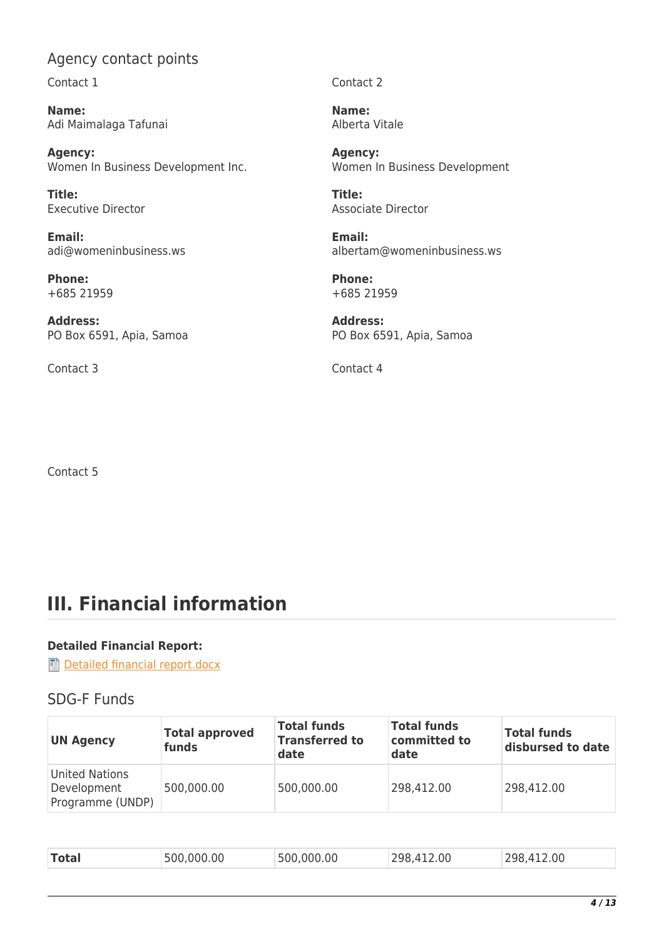# Agency contact points

Contact 1

**Name:**  Adi Maimalaga Tafunai

**Agency:**  Women In Business Development Inc.

**Title:**  Executive Director

**Email:**  adi@womeninbusiness.ws

**Phone:**  +685 21959

**Address:**  PO Box 6591, Apia, Samoa

Contact 3 Contact 4

Contact 2

**Name:**  Alberta Vitale

**Agency:**  Women In Business Development

**Title:**  Associate Director

**Email:**  albertam@womeninbusiness.ws

**Phone:**  +685 21959

**Address:**  PO Box 6591, Apia, Samoa

Contact 5

# **III. Financial information**

#### **Detailed Financial Report:**

[Detailed financial report.docx](https://proposals.sdgfund.org/system/files/report-attachments/Detailed%20financial%20report.docx)

### SDG-F Funds

| <b>UN Agency</b>                                  | <b>Total approved</b><br>funds | <b>Total funds</b><br><b>Transferred to</b><br>date | <b>Total funds</b><br>committed to<br>date | <b>Total funds</b><br>disbursed to date |
|---------------------------------------------------|--------------------------------|-----------------------------------------------------|--------------------------------------------|-----------------------------------------|
| United Nations<br>Development<br>Programme (UNDP) | 500,000.00                     | 500,000.00                                          | 298,412.00                                 | 298,412.00                              |

| 500,000.00<br>298,412.00<br>500,000.00<br><b>Total</b><br>298,412.00 |
|----------------------------------------------------------------------|
|----------------------------------------------------------------------|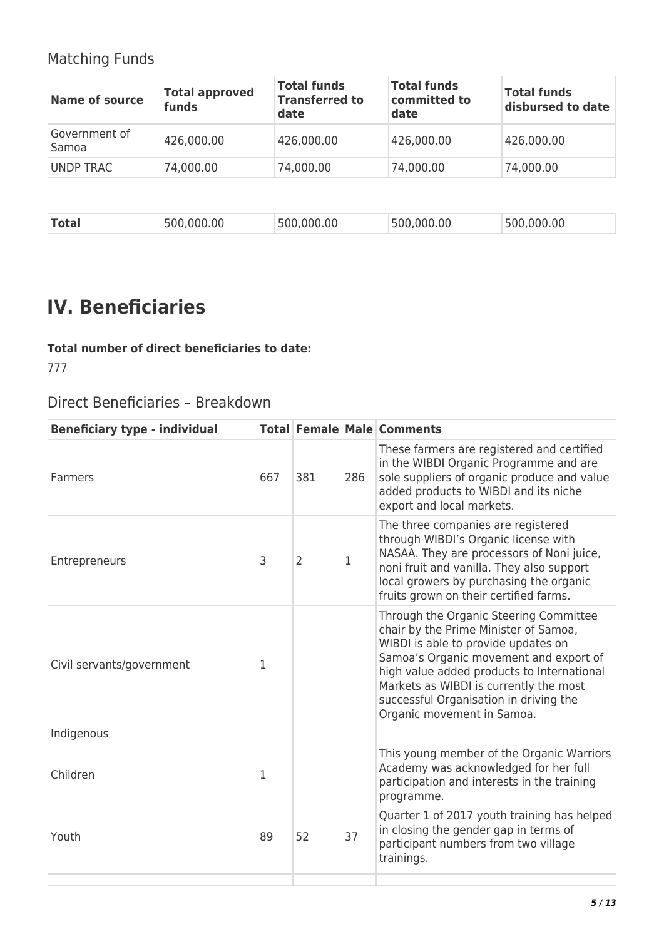# Matching Funds

| <b>Name of source</b>  | <b>Total approved</b><br>funds | <b>Total funds</b><br><b>Transferred to</b><br>date | <b>Total funds</b><br>committed to<br>date | <b>Total funds</b><br>disbursed to date |
|------------------------|--------------------------------|-----------------------------------------------------|--------------------------------------------|-----------------------------------------|
| Government of<br>Samoa | 426,000.00                     | 426,000.00                                          | 426,000.00                                 | 426,000.00                              |
| UNDP TRAC              | 74,000.00                      | 74,000.00                                           | 74,000.00                                  | 74,000.00                               |

| <b>Total</b> | .000.00<br>'500- | 0 <sup>0</sup><br>500 | .000.00<br>500 | 500.000.00 |
|--------------|------------------|-----------------------|----------------|------------|
|              |                  |                       |                |            |

# **IV. Beneficiaries**

# **Total number of direct beneficiaries to date:**

777

# Direct Beneficiaries – Breakdown

| <b>Beneficiary type - individual</b> |     |                |              | <b>Total Female Male Comments</b>                                                                                                                                                                                                                                                                                                |
|--------------------------------------|-----|----------------|--------------|----------------------------------------------------------------------------------------------------------------------------------------------------------------------------------------------------------------------------------------------------------------------------------------------------------------------------------|
| Farmers                              | 667 | 381            | 286          | These farmers are registered and certified<br>in the WIBDI Organic Programme and are<br>sole suppliers of organic produce and value<br>added products to WIBDI and its niche<br>export and local markets.                                                                                                                        |
| Entrepreneurs                        | 3   | $\overline{2}$ | $\mathbf{1}$ | The three companies are registered<br>through WIBDI's Organic license with<br>NASAA. They are processors of Noni juice,<br>noni fruit and vanilla. They also support<br>local growers by purchasing the organic<br>fruits grown on their certified farms.                                                                        |
| Civil servants/government            | 1   |                |              | Through the Organic Steering Committee<br>chair by the Prime Minister of Samoa,<br>WIBDI is able to provide updates on<br>Samoa's Organic movement and export of<br>high value added products to International<br>Markets as WIBDI is currently the most<br>successful Organisation in driving the<br>Organic movement in Samoa. |
| Indigenous                           |     |                |              |                                                                                                                                                                                                                                                                                                                                  |
| Children                             | 1   |                |              | This young member of the Organic Warriors<br>Academy was acknowledged for her full<br>participation and interests in the training<br>programme.                                                                                                                                                                                  |
| Youth                                | 89  | 52             | 37           | Quarter 1 of 2017 youth training has helped<br>in closing the gender gap in terms of<br>participant numbers from two village<br>trainings.                                                                                                                                                                                       |
|                                      |     |                |              |                                                                                                                                                                                                                                                                                                                                  |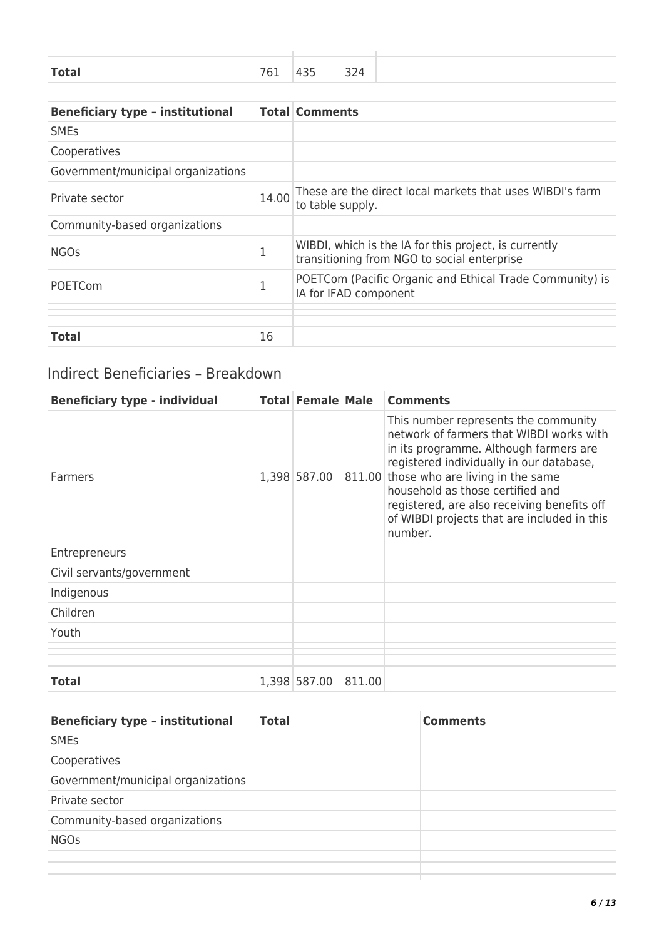| $T = 1 -$<br>____ | . | -- | $\sim$ $\sim$<br>$\prime$<br>-- |  |
|-------------------|---|----|---------------------------------|--|

| <b>Beneficiary type - institutional</b> |       | <b>Total Comments</b>                                                                                |
|-----------------------------------------|-------|------------------------------------------------------------------------------------------------------|
| <b>SMEs</b>                             |       |                                                                                                      |
| Cooperatives                            |       |                                                                                                      |
| Government/municipal organizations      |       |                                                                                                      |
| Private sector                          | 14.00 | These are the direct local markets that uses WIBDI's farm<br>to table supply.                        |
| Community-based organizations           |       |                                                                                                      |
| <b>NGOs</b>                             | 1     | WIBDI, which is the IA for this project, is currently<br>transitioning from NGO to social enterprise |
| <b>POETCom</b>                          | 1     | POETCom (Pacific Organic and Ethical Trade Community) is<br>IA for IFAD component                    |
|                                         |       |                                                                                                      |
| <b>Total</b>                            | 16    |                                                                                                      |

# Indirect Beneficiaries – Breakdown

| <b>Beneficiary type - individual</b> | <b>Total Female Male</b> |        | <b>Comments</b>                                                                                                                                                                                                                                                                                                                                         |
|--------------------------------------|--------------------------|--------|---------------------------------------------------------------------------------------------------------------------------------------------------------------------------------------------------------------------------------------------------------------------------------------------------------------------------------------------------------|
| Farmers                              | 1,398 587.00             | 811.00 | This number represents the community<br>network of farmers that WIBDI works with<br>in its programme. Although farmers are<br>registered individually in our database,<br>those who are living in the same<br>household as those certified and<br>registered, are also receiving benefits off<br>of WIBDI projects that are included in this<br>number. |
| Entrepreneurs                        |                          |        |                                                                                                                                                                                                                                                                                                                                                         |
| Civil servants/government            |                          |        |                                                                                                                                                                                                                                                                                                                                                         |
| Indigenous                           |                          |        |                                                                                                                                                                                                                                                                                                                                                         |
| Children                             |                          |        |                                                                                                                                                                                                                                                                                                                                                         |
| Youth                                |                          |        |                                                                                                                                                                                                                                                                                                                                                         |
|                                      |                          |        |                                                                                                                                                                                                                                                                                                                                                         |
|                                      |                          |        |                                                                                                                                                                                                                                                                                                                                                         |
| <b>Total</b>                         | 1,398 587.00             | 811.00 |                                                                                                                                                                                                                                                                                                                                                         |

| <b>Beneficiary type - institutional</b> | <b>Total</b> | <b>Comments</b> |
|-----------------------------------------|--------------|-----------------|
| <b>SME<sub>S</sub></b>                  |              |                 |
| Cooperatives                            |              |                 |
| Government/municipal organizations      |              |                 |
| Private sector                          |              |                 |
| Community-based organizations           |              |                 |
| <b>NGOs</b>                             |              |                 |
|                                         |              |                 |
|                                         |              |                 |
|                                         |              |                 |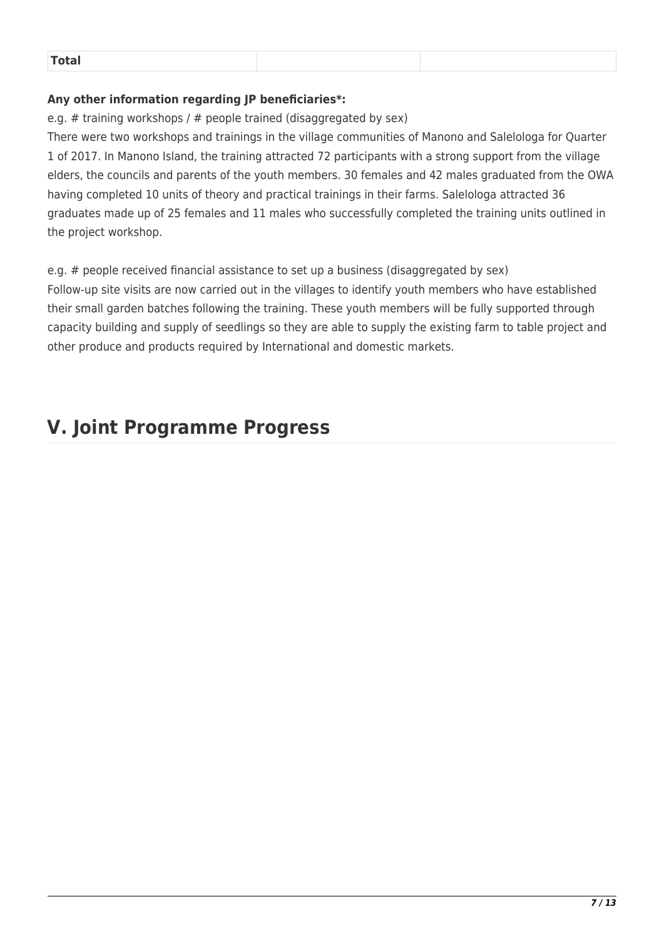| i The Albert |  |
|--------------|--|
|              |  |

#### **Any other information regarding JP beneficiaries\*:**

e.g. # training workshops /  $#$  people trained (disaggregated by sex)

There were two workshops and trainings in the village communities of Manono and Salelologa for Quarter 1 of 2017. In Manono Island, the training attracted 72 participants with a strong support from the village elders, the councils and parents of the youth members. 30 females and 42 males graduated from the OWA having completed 10 units of theory and practical trainings in their farms. Salelologa attracted 36 graduates made up of 25 females and 11 males who successfully completed the training units outlined in the project workshop.

e.g. # people received financial assistance to set up a business (disaggregated by sex) Follow-up site visits are now carried out in the villages to identify youth members who have established their small garden batches following the training. These youth members will be fully supported through capacity building and supply of seedlings so they are able to supply the existing farm to table project and other produce and products required by International and domestic markets.

# **V. Joint Programme Progress**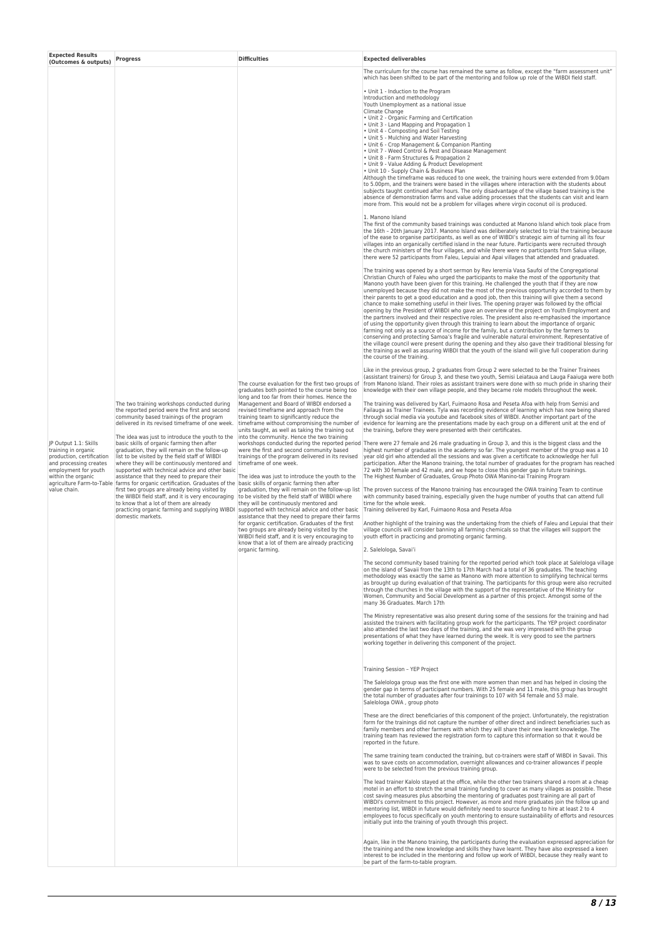| <b>Expected Results</b><br>(Outcomes & outputs)                                                                                                                   | <b>Progress</b>                                                                                                                                                                                                                                                                                                                                                                                                                                                                                                                                                                                                                                                                                                                                                                                                                                                                                   | <b>Difficulties</b>                                                                                                                                                                                                                                                                                                                                                                                                                                                                                                                                                                                                                                                                                                                                                                                                                                                                                                                                                                                                                                                                                             | <b>Expected deliverables</b>                                                                                                                                                                                                                                                                                                                                                                                                                                                                                                                                                                                                                                                                                                                                                                                                                                                                                                                                                                                                                                                                                                                                                                                                                                                                                                                                                                                                                                                                                                                                                                                                                                                                                                                                                                                                                                                                                                                                                                                                                                                                                                                                                                                                                                                                                                                                                                                                                                                                                                                                                                                                                                                                                                                                                                                                                                                                                                                                                                                                                                                                                                                                                                                                                                                                                                                                                                                                                                                                                                                                                                                                                                                                                                                                                                                                                                                                                                                                                                                                                                                                                                                                                                                                                                                                                                                                                                                                                                                                                                                                                                                                                                                                                                                                                                                                                                                                                                                                                                                                                                                                                                                                                                                                                                                                                                                                                                                                                                                                                                                                                                                                                                                                                                                                                                                                                                                                                                                                                                                                                                                                                                                                                                                                                                                                                                                                                                                                                                                                                                                                                                                                                                                                                                                                                                                                                                                                                                                                                                                                                                                                                                                                                                                                                                                                                                                                                          |
|-------------------------------------------------------------------------------------------------------------------------------------------------------------------|---------------------------------------------------------------------------------------------------------------------------------------------------------------------------------------------------------------------------------------------------------------------------------------------------------------------------------------------------------------------------------------------------------------------------------------------------------------------------------------------------------------------------------------------------------------------------------------------------------------------------------------------------------------------------------------------------------------------------------------------------------------------------------------------------------------------------------------------------------------------------------------------------|-----------------------------------------------------------------------------------------------------------------------------------------------------------------------------------------------------------------------------------------------------------------------------------------------------------------------------------------------------------------------------------------------------------------------------------------------------------------------------------------------------------------------------------------------------------------------------------------------------------------------------------------------------------------------------------------------------------------------------------------------------------------------------------------------------------------------------------------------------------------------------------------------------------------------------------------------------------------------------------------------------------------------------------------------------------------------------------------------------------------|---------------------------------------------------------------------------------------------------------------------------------------------------------------------------------------------------------------------------------------------------------------------------------------------------------------------------------------------------------------------------------------------------------------------------------------------------------------------------------------------------------------------------------------------------------------------------------------------------------------------------------------------------------------------------------------------------------------------------------------------------------------------------------------------------------------------------------------------------------------------------------------------------------------------------------------------------------------------------------------------------------------------------------------------------------------------------------------------------------------------------------------------------------------------------------------------------------------------------------------------------------------------------------------------------------------------------------------------------------------------------------------------------------------------------------------------------------------------------------------------------------------------------------------------------------------------------------------------------------------------------------------------------------------------------------------------------------------------------------------------------------------------------------------------------------------------------------------------------------------------------------------------------------------------------------------------------------------------------------------------------------------------------------------------------------------------------------------------------------------------------------------------------------------------------------------------------------------------------------------------------------------------------------------------------------------------------------------------------------------------------------------------------------------------------------------------------------------------------------------------------------------------------------------------------------------------------------------------------------------------------------------------------------------------------------------------------------------------------------------------------------------------------------------------------------------------------------------------------------------------------------------------------------------------------------------------------------------------------------------------------------------------------------------------------------------------------------------------------------------------------------------------------------------------------------------------------------------------------------------------------------------------------------------------------------------------------------------------------------------------------------------------------------------------------------------------------------------------------------------------------------------------------------------------------------------------------------------------------------------------------------------------------------------------------------------------------------------------------------------------------------------------------------------------------------------------------------------------------------------------------------------------------------------------------------------------------------------------------------------------------------------------------------------------------------------------------------------------------------------------------------------------------------------------------------------------------------------------------------------------------------------------------------------------------------------------------------------------------------------------------------------------------------------------------------------------------------------------------------------------------------------------------------------------------------------------------------------------------------------------------------------------------------------------------------------------------------------------------------------------------------------------------------------------------------------------------------------------------------------------------------------------------------------------------------------------------------------------------------------------------------------------------------------------------------------------------------------------------------------------------------------------------------------------------------------------------------------------------------------------------------------------------------------------------------------------------------------------------------------------------------------------------------------------------------------------------------------------------------------------------------------------------------------------------------------------------------------------------------------------------------------------------------------------------------------------------------------------------------------------------------------------------------------------------------------------------------------------------------------------------------------------------------------------------------------------------------------------------------------------------------------------------------------------------------------------------------------------------------------------------------------------------------------------------------------------------------------------------------------------------------------------------------------------------------------------------------------------------------------------------------------------------------------------------------------------------------------------------------------------------------------------------------------------------------------------------------------------------------------------------------------------------------------------------------------------------------------------------------------------------------------------------------------------------------------------------------------------------------------------------------------------------------------------------------------------------------------------------------------------------------------------------------------------------------------------------------------------------------------------------------------------------------------------------------------------------------------------------------------------------------------------------------------------------------------------------------------------------------------------------------------|
| JP Output 1.1: Skills<br>training in organic<br>production, certification<br>and processing creates<br>employment for youth<br>within the organic<br>value chain. | The two training workshops conducted during<br>the reported period were the first and second<br>community based trainings of the program<br>delivered in its revised timeframe of one week.<br>The idea was just to introduce the youth to the<br>basic skills of organic farming then after<br>graduation, they will remain on the follow-up<br>list to be visited by the field staff of WIBDI<br>where they will be continuously mentored and<br>supported with technical advice and other basic<br>assistance that they need to prepare their<br>agriculture Farm-to-Table farms for organic certification. Graduates of the basic skills of organic farming then after<br>first two groups are already being visited by<br>the WIBDI field staff, and it is very encouraging<br>to know that a lot of them are already<br>practicing organic farming and supplying WIBDI<br>domestic markets. | The course evaluation for the first two groups of<br>graduates both pointed to the course being too<br>long and too far from their homes. Hence the<br>Management and Board of WIBDI endorsed a<br>revised timeframe and approach from the<br>training team to significantly reduce the<br>timeframe without compromising the number of<br>units taught, as well as taking the training out<br>into the community. Hence the two training<br>were the first and second community based<br>trainings of the program delivered in its revised<br>timeframe of one week.<br>The idea was just to introduce the youth to the<br>graduation, they will remain on the follow-up list<br>to be visited by the field staff of WIBDI where<br>they will be continuously mentored and<br>supported with technical advice and other basic<br>assistance that they need to prepare their farms<br>for organic certification. Graduates of the first<br>two groups are already being visited by the<br>WIBDI field staff, and it is very encouraging to<br>know that a lot of them are already practicing<br>organic farming | The curriculum for the course has remained the same as follow, except the "farm assessment unit"<br>which has been shifted to be part of the mentoring and follow up role of the WIBDI field staff.<br>• Unit 1 - Induction to the Program<br>Introduction and methodology<br>Youth Unemployment as a national issue<br>Climate Change<br>• Unit 2 - Organic Farming and Certification<br>• Unit 3 - Land Mapping and Propagation 1<br>• Unit 4 - Composting and Soil Testing<br>• Unit 5 - Mulching and Water Harvesting<br>• Unit 6 - Crop Management & Companion Planting<br>• Unit 7 - Weed Control & Pest and Disease Management<br>• Unit 8 - Farm Structures & Propagation 2<br>• Unit 9 - Value Adding & Product Development<br>. Unit 10 - Supply Chain & Business Plan<br>Although the timeframe was reduced to one week, the training hours were extended from 9.00am<br>to 5.00pm, and the trainers were based in the villages where interaction with the students about<br>subjects taught continued after hours. The only disadvantage of the village based training is the<br>absence of demonstration farms and value adding processes that the students can visit and learn<br>more from. This would not be a problem for villages where virgin coconut oil is produced.<br>1. Manono Island<br>The first of the community based trainings was conducted at Manono Island which took place from<br>the 16th - 20th January 2017. Manono Island was deliberately selected to trial the training because<br>of the ease to organise participants, as well as one of WIBDI's strategic aim of turning all its four<br>villages into an organically certified island in the near future. Participants were recruited through<br>the church ministers of the four villages, and while there were no participants from Salua village,<br>there were 52 participants from Faleu, Lepuiai and Apai villages that attended and graduated.<br>The training was opened by a short sermon by Rev leremia Vasa Saufoi of the Congregational<br>Christian Church of Faleu who urged the participants to make the most of the opportunity that<br>Manono youth have been given for this training. He challenged the youth that if they are now<br>unemployed because they did not make the most of the previous opportunity accorded to them by<br>their parents to get a good education and a good job, then this training will give them a second<br>chance to make something useful in their lives. The opening prayer was followed by the official<br>opening by the President of WIBDI who gave an overview of the project on Youth Employment and<br>the partners involved and their respective roles. The president also re-emphasised the importance<br>of using the opportunity given through this training to learn about the importance of organic<br>farming not only as a source of income for the family, but a contribution by the farmers to<br>conserving and protecting Samoa's fragile and vulnerable natural environment. Representative of<br>the village council were present during the opening and they also gave their traditional blessing for<br>the training as well as assuring WIBDI that the youth of the island will give full cooperation during<br>the course of the training.<br>Like in the previous group, 2 graduates from Group 2 were selected to be the Trainer Trainees<br>(assistant trainers) for Group 3, and these two youth, Semisi Leiataua and Lauga Faaiuga were both<br>from Manono Island. Their roles as assistant trainers were done with so much pride in sharing their<br>knowledge with their own village people, and they became role models throughout the week.<br>The training was delivered by Karl, Fuimaono Rosa and Peseta Afoa with help from Semisi and<br>Failauga as Trainer Trainees. Tyla was recording evidence of learning which has now being shared<br>through social media via youtube and facebook sites of WIBDI. Another important part of the<br>evidence for learning are the presentations made by each group on a different unit at the end of<br>the training, before they were presented with their certificates.<br>workshops conducted during the reported period There were 27 female and 26 male graduating in Group 3, and this is the biggest class and the<br>highest number of graduates in the academy so far. The youngest member of the group was a 10<br>year old girl who attended all the sessions and was given a certificate to acknowledge her full<br>participation. After the Manono training, the total number of graduates for the program has reached<br>72 with 30 female and 42 male, and we hope to close this gender gap in future trainings.<br>The Highest Number of Graduates, Group Photo OWA Manino-tai Training Program<br>The proven success of the Manono training has encouraged the OWA training Team to continue<br>with community based training, especially given the huge number of youths that can attend full<br>time for the whole week.<br>Training delivered by Karl, Fuimaono Rosa and Peseta Afoa<br>Another highlight of the training was the undertaking from the chiefs of Faleu and Lepuiai that their<br>village councils will consider banning all farming chemicals so that the villages will support the<br>youth effort in practicing and promoting organic farming.<br>2. Salelologa, Savai'i<br>The second community based training for the reported period which took place at Salelologa village<br>on the island of Savaii from the 13th to 17th March had a total of 36 graduates. The teaching<br>methodology was exactly the same as Manono with more attention to simplifying technical terms<br>as brought up during evaluation of that training. The participants for this group were also recruited<br>through the churches in the village with the support of the representative of the Ministry for<br>Women, Community and Social Development as a partner of this project. Amongst some of the<br>many 36 Graduates. March 17th<br>The Ministry representative was also present during some of the sessions for the training and had<br>assisted the trainers with facilitating group work for the participants. The YEP project coordinator<br>also attended the last two days of the training, and she was very impressed with the group<br>presentations of what they have learned during the week. It is very good to see the partners<br>working together in delivering this component of the project.<br>Training Session - YEP Project<br>The Salelologa group was the first one with more women than men and has helped in closing the<br>gender gap in terms of participant numbers. With 25 female and 11 male, this group has brought<br>the total number of graduates after four trainings to 107 with 54 female and 53 male.<br>Salelologa OWA, group photo<br>These are the direct beneficiaries of this component of the project. Unfortunately, the registration<br>form for the trainings did not capture the number of other direct and indirect beneficiaries such as<br>family members and other farmers with which they will share their new learnt knowledge. The<br>training team has reviewed the registration form to capture this information so that it would be<br>reported in the future. |
|                                                                                                                                                                   |                                                                                                                                                                                                                                                                                                                                                                                                                                                                                                                                                                                                                                                                                                                                                                                                                                                                                                   |                                                                                                                                                                                                                                                                                                                                                                                                                                                                                                                                                                                                                                                                                                                                                                                                                                                                                                                                                                                                                                                                                                                 |                                                                                                                                                                                                                                                                                                                                                                                                                                                                                                                                                                                                                                                                                                                                                                                                                                                                                                                                                                                                                                                                                                                                                                                                                                                                                                                                                                                                                                                                                                                                                                                                                                                                                                                                                                                                                                                                                                                                                                                                                                                                                                                                                                                                                                                                                                                                                                                                                                                                                                                                                                                                                                                                                                                                                                                                                                                                                                                                                                                                                                                                                                                                                                                                                                                                                                                                                                                                                                                                                                                                                                                                                                                                                                                                                                                                                                                                                                                                                                                                                                                                                                                                                                                                                                                                                                                                                                                                                                                                                                                                                                                                                                                                                                                                                                                                                                                                                                                                                                                                                                                                                                                                                                                                                                                                                                                                                                                                                                                                                                                                                                                                                                                                                                                                                                                                                                                                                                                                                                                                                                                                                                                                                                                                                                                                                                                                                                                                                                                                                                                                                                                                                                                                                                                                                                                                                                                                                                                                                                                                                                                                                                                                                                                                                                                                                                                                                                                       |
|                                                                                                                                                                   |                                                                                                                                                                                                                                                                                                                                                                                                                                                                                                                                                                                                                                                                                                                                                                                                                                                                                                   |                                                                                                                                                                                                                                                                                                                                                                                                                                                                                                                                                                                                                                                                                                                                                                                                                                                                                                                                                                                                                                                                                                                 | The same training team conducted the training, but co-trainers were staff of WIBDI in Savaii. This<br>was to save costs on accommodation, overnight allowances and co-trainer allowances if people<br>were to be selected from the previous training group.                                                                                                                                                                                                                                                                                                                                                                                                                                                                                                                                                                                                                                                                                                                                                                                                                                                                                                                                                                                                                                                                                                                                                                                                                                                                                                                                                                                                                                                                                                                                                                                                                                                                                                                                                                                                                                                                                                                                                                                                                                                                                                                                                                                                                                                                                                                                                                                                                                                                                                                                                                                                                                                                                                                                                                                                                                                                                                                                                                                                                                                                                                                                                                                                                                                                                                                                                                                                                                                                                                                                                                                                                                                                                                                                                                                                                                                                                                                                                                                                                                                                                                                                                                                                                                                                                                                                                                                                                                                                                                                                                                                                                                                                                                                                                                                                                                                                                                                                                                                                                                                                                                                                                                                                                                                                                                                                                                                                                                                                                                                                                                                                                                                                                                                                                                                                                                                                                                                                                                                                                                                                                                                                                                                                                                                                                                                                                                                                                                                                                                                                                                                                                                                                                                                                                                                                                                                                                                                                                                                                                                                                                                                           |
|                                                                                                                                                                   |                                                                                                                                                                                                                                                                                                                                                                                                                                                                                                                                                                                                                                                                                                                                                                                                                                                                                                   |                                                                                                                                                                                                                                                                                                                                                                                                                                                                                                                                                                                                                                                                                                                                                                                                                                                                                                                                                                                                                                                                                                                 | The lead trainer Kalolo stayed at the office, while the other two trainers shared a room at a cheap<br>motel in an effort to stretch the small training funding to cover as many villages as possible. These<br>cost saving measures plus absorbing the mentoring of graduates post training are all part of<br>WIBDI's commitment to this project. However, as more and more graduates join the follow up and<br>mentoring list, WIBDI in future would definitely need to source funding to hire at least 2 to 4<br>employees to focus specifically on youth mentoring to ensure sustainability of efforts and resources<br>initially put into the training of youth through this project.                                                                                                                                                                                                                                                                                                                                                                                                                                                                                                                                                                                                                                                                                                                                                                                                                                                                                                                                                                                                                                                                                                                                                                                                                                                                                                                                                                                                                                                                                                                                                                                                                                                                                                                                                                                                                                                                                                                                                                                                                                                                                                                                                                                                                                                                                                                                                                                                                                                                                                                                                                                                                                                                                                                                                                                                                                                                                                                                                                                                                                                                                                                                                                                                                                                                                                                                                                                                                                                                                                                                                                                                                                                                                                                                                                                                                                                                                                                                                                                                                                                                                                                                                                                                                                                                                                                                                                                                                                                                                                                                                                                                                                                                                                                                                                                                                                                                                                                                                                                                                                                                                                                                                                                                                                                                                                                                                                                                                                                                                                                                                                                                                                                                                                                                                                                                                                                                                                                                                                                                                                                                                                                                                                                                                                                                                                                                                                                                                                                                                                                                                                                                                                                                                           |
|                                                                                                                                                                   |                                                                                                                                                                                                                                                                                                                                                                                                                                                                                                                                                                                                                                                                                                                                                                                                                                                                                                   |                                                                                                                                                                                                                                                                                                                                                                                                                                                                                                                                                                                                                                                                                                                                                                                                                                                                                                                                                                                                                                                                                                                 | Again, like in the Manono training, the participants during the evaluation expressed appreciation for<br>the training and the new knowledge and skills they have learnt. They have also expressed a keen<br>interest to be included in the mentoring and follow up work of WIBDI, because they really want to<br>be part of the farm-to-table program.                                                                                                                                                                                                                                                                                                                                                                                                                                                                                                                                                                                                                                                                                                                                                                                                                                                                                                                                                                                                                                                                                                                                                                                                                                                                                                                                                                                                                                                                                                                                                                                                                                                                                                                                                                                                                                                                                                                                                                                                                                                                                                                                                                                                                                                                                                                                                                                                                                                                                                                                                                                                                                                                                                                                                                                                                                                                                                                                                                                                                                                                                                                                                                                                                                                                                                                                                                                                                                                                                                                                                                                                                                                                                                                                                                                                                                                                                                                                                                                                                                                                                                                                                                                                                                                                                                                                                                                                                                                                                                                                                                                                                                                                                                                                                                                                                                                                                                                                                                                                                                                                                                                                                                                                                                                                                                                                                                                                                                                                                                                                                                                                                                                                                                                                                                                                                                                                                                                                                                                                                                                                                                                                                                                                                                                                                                                                                                                                                                                                                                                                                                                                                                                                                                                                                                                                                                                                                                                                                                                                                                |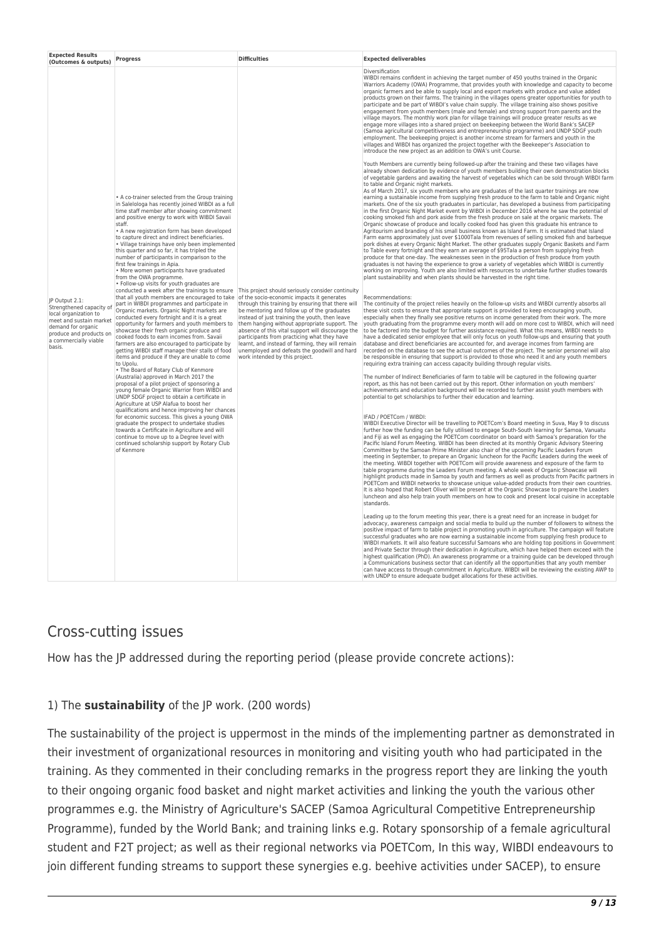| <b>Expected Results</b><br>(Outcomes & outputs)                                                                                                                                    | <b>Progress</b>                                                                                                                                                                                                                                                                                                                                                                                                                                                                                                                                                                                                                                                                                                                                                                                                                                                                                                                                                                                                                                                                                                                                                                                                                                                                                                                                                                                                                                                                                                                                                                                                                                                                                                                                               | <b>Difficulties</b>                                                                                                                                                                                                                                                                                                                                                                                                                                                                                                                               | <b>Expected deliverables</b>                                                                                                                                                                                                                                                                                                                                                                                                                                                                                                                                                                                                                                                                                                                                                                                                                                                                                                                                                                                                                                                                                                                                                                                                                                                                                                                                                                                                                                                                                                                                                                                                                                                                                                                                                                                                                                                                                                                                                                                                                                                                                                                                                                                                                                                                                                                                                                                                                                                                                                                                                                                                                                                                                                                                                                                                                                                                                                                                                                                                                                                                                                                                                                                                                                                                                                                                                                                                                                                                                                                                                                                                                                                                                                                                                                                                                                                                                                                                                                                                                                                                                                                                                                                                                                                                                                                                                                                                                                                                                                                                                                                                                                                                                                             |
|------------------------------------------------------------------------------------------------------------------------------------------------------------------------------------|---------------------------------------------------------------------------------------------------------------------------------------------------------------------------------------------------------------------------------------------------------------------------------------------------------------------------------------------------------------------------------------------------------------------------------------------------------------------------------------------------------------------------------------------------------------------------------------------------------------------------------------------------------------------------------------------------------------------------------------------------------------------------------------------------------------------------------------------------------------------------------------------------------------------------------------------------------------------------------------------------------------------------------------------------------------------------------------------------------------------------------------------------------------------------------------------------------------------------------------------------------------------------------------------------------------------------------------------------------------------------------------------------------------------------------------------------------------------------------------------------------------------------------------------------------------------------------------------------------------------------------------------------------------------------------------------------------------------------------------------------------------|---------------------------------------------------------------------------------------------------------------------------------------------------------------------------------------------------------------------------------------------------------------------------------------------------------------------------------------------------------------------------------------------------------------------------------------------------------------------------------------------------------------------------------------------------|------------------------------------------------------------------------------------------------------------------------------------------------------------------------------------------------------------------------------------------------------------------------------------------------------------------------------------------------------------------------------------------------------------------------------------------------------------------------------------------------------------------------------------------------------------------------------------------------------------------------------------------------------------------------------------------------------------------------------------------------------------------------------------------------------------------------------------------------------------------------------------------------------------------------------------------------------------------------------------------------------------------------------------------------------------------------------------------------------------------------------------------------------------------------------------------------------------------------------------------------------------------------------------------------------------------------------------------------------------------------------------------------------------------------------------------------------------------------------------------------------------------------------------------------------------------------------------------------------------------------------------------------------------------------------------------------------------------------------------------------------------------------------------------------------------------------------------------------------------------------------------------------------------------------------------------------------------------------------------------------------------------------------------------------------------------------------------------------------------------------------------------------------------------------------------------------------------------------------------------------------------------------------------------------------------------------------------------------------------------------------------------------------------------------------------------------------------------------------------------------------------------------------------------------------------------------------------------------------------------------------------------------------------------------------------------------------------------------------------------------------------------------------------------------------------------------------------------------------------------------------------------------------------------------------------------------------------------------------------------------------------------------------------------------------------------------------------------------------------------------------------------------------------------------------------------------------------------------------------------------------------------------------------------------------------------------------------------------------------------------------------------------------------------------------------------------------------------------------------------------------------------------------------------------------------------------------------------------------------------------------------------------------------------------------------------------------------------------------------------------------------------------------------------------------------------------------------------------------------------------------------------------------------------------------------------------------------------------------------------------------------------------------------------------------------------------------------------------------------------------------------------------------------------------------------------------------------------------------------------------------------------------------------------------------------------------------------------------------------------------------------------------------------------------------------------------------------------------------------------------------------------------------------------------------------------------------------------------------------------------------------------------------------------------------------------------------------------------------------------|
|                                                                                                                                                                                    |                                                                                                                                                                                                                                                                                                                                                                                                                                                                                                                                                                                                                                                                                                                                                                                                                                                                                                                                                                                                                                                                                                                                                                                                                                                                                                                                                                                                                                                                                                                                                                                                                                                                                                                                                               |                                                                                                                                                                                                                                                                                                                                                                                                                                                                                                                                                   | Diversification<br>WIBDI remains confident in achieving the target number of 450 youths trained in the Organic<br>Warriors Academy (OWA) Programme, that provides youth with knowledge and capacity to become<br>organic farmers and be able to supply local and export markets with produce and value added<br>products grown on their farms. The training in the villages opens greater opportunities for youth to<br>participate and be part of WIBDI's value chain supply. The village training also shows positive<br>engagement from youth members (male and female) and strong support from parents and the<br>village mayors. The monthly work plan for village trainings will produce greater results as we<br>engage more villages into a shared project on beekeeping between the World Bank's SACEP<br>(Samoa agricultural competitiveness and entrepreneurship programme) and UNDP SDGF youth<br>employment. The beekeeping project is another income stream for farmers and youth in the<br>villages and WIBDI has organized the project together with the Beekeeper's Association to<br>introduce the new project as an addition to OWA's unit Course.                                                                                                                                                                                                                                                                                                                                                                                                                                                                                                                                                                                                                                                                                                                                                                                                                                                                                                                                                                                                                                                                                                                                                                                                                                                                                                                                                                                                                                                                                                                                                                                                                                                                                                                                                                                                                                                                                                                                                                                                                                                                                                                                                                                                                                                                                                                                                                                                                                                                                                                                                                                                                                                                                                                                                                                                                                                                                                                                                                                                                                                                                                                                                                                                                                                                                                                                                                                                                                                                                                                                                                    |
| JP Output 2.1:<br>Strengthened capacity of<br>local organization to<br>meet and sustain market<br>demand for organic<br>produce and products on<br>a commercially viable<br>basis. | • A co-trainer selected from the Group training<br>in Salelologa has recently joined WIBDI as a full<br>time staff member after showing commitment<br>and positive energy to work with WIBDI Savaii<br>staff.<br>• A new registration form has been developed<br>to capture direct and indirect beneficiaries.<br>• Village trainings have only been implemented<br>this quarter and so far, it has tripled the<br>number of participants in comparison to the<br>first few trainings in Apia.<br>· More women participants have graduated<br>from the OWA programme.<br>• Follow-up visits for youth graduates are<br>that all youth members are encouraged to take of the socio-economic impacts it generates<br>part in WIBDI programmes and participate in<br>Organic markets. Organic Night markets are<br>conducted every fortnight and it is a great<br>opportunity for farmers and youth members to<br>showcase their fresh organic produce and<br>cooked foods to earn incomes from. Savaii<br>farmers are also encouraged to participate by<br>getting WIBDI staff manage their stalls of food<br>items and produce if they are unable to come<br>to Upolu.<br>• The Board of Rotary Club of Kenmore<br>(Australia) approved in March 2017 the<br>proposal of a pilot project of sponsoring a<br>young female Organic Warrior from WIBDI and<br>UNDP SDGF project to obtain a certificate in<br>Agriculture at USP Alafua to boost her<br>qualifications and hence improving her chances<br>for economic success. This gives a young OWA<br>graduate the prospect to undertake studies<br>towards a Certificate in Agriculture and will<br>continue to move up to a Degree level with<br>continued scholarship support by Rotary Club<br>of Kenmore | conducted a week after the trainings to ensure This project should seriously consider continuity<br>through this training by ensuring that there will<br>be mentoring and follow up of the graduates<br>instead of just training the youth, then leave<br>them hanging without appropriate support. The<br>absence of this vital support will discourage the<br>participants from practicing what they have<br>learnt, and instead of farming, they will remain<br>unemployed and defeats the goodwill and hard<br>work intended by this project. | Youth Members are currently being followed-up after the training and these two villages have<br>already shown dedication by evidence of youth members building their own demonstration blocks<br>of vegetable gardens and awaiting the harvest of vegetables which can be sold through WIBDI farm<br>to table and Organic night markets.<br>As of March 2017, six youth members who are graduates of the last quarter trainings are now<br>earning a sustainable income from supplying fresh produce to the farm to table and Organic night<br>markets. One of the six youth graduates in particular, has developed a business from participating<br>in the first Organic Night Market event by WIBDI in December 2016 where he saw the potential of<br>cooking smoked fish and pork aside from the fresh produce on sale at the organic markets. The<br>Organic showcase of produce and locally cooked food has given this graduate his entrance to<br>Agritourism and branding of his small business known as Island Farm. It is estimated that Island<br>Farm earns approximately just over \$1000Tala from revenues of selling smoked fish and barbeque<br>pork dishes at every Organic Night Market. The other graduates supply Organic Baskets and Farm<br>to Table every fortnight and they earn an average of \$95Tala a person from supplying fresh<br>produce for that one-day. The weaknesses seen in the production of fresh produce from youth<br>graduates is not having the experience to grow a variety of vegetables which WIBDI is currently<br>working on improving. Youth are also limited with resources to undertake further studies towards<br>plant sustainability and when plants should be harvested in the right time.<br>Recommendations:<br>The continuity of the project relies heavily on the follow-up visits and WIBDI currently absorbs all<br>these visit costs to ensure that appropriate support is provided to keep encouraging youth,<br>especially when they finally see positive returns on income generated from their work. The more<br>youth graduating from the programme every month will add on more cost to WIBDI, which will need<br>to be factored into the budget for further assistance required. What this means, WIBDI needs to<br>have a dedicated senior employee that will only focus on youth follow-ups and ensuring that youth<br>database and direct beneficiaries are accounted for, and average incomes from farming are<br>recorded on the database to see the actual outcomes of the project. The senior personnel will also<br>be responsible in ensuring that support is provided to those who need it and any youth members<br>requiring extra training can access capacity building through regular visits.<br>The number of Indirect Beneficiaries of farm to table will be captured in the following quarter<br>report, as this has not been carried out by this report. Other information on youth members'<br>achievements and education background will be recorded to further assist youth members with<br>potential to get scholarships to further their education and learning.<br>IFAD / POETCom / WIBDI:<br>WIBDI Executive Director will be travelling to POETCom's Board meeting in Suva, May 9 to discuss<br>further how the funding can be fully utilised to engage South-South learning for Samoa, Vanuatu<br>and Fiji as well as engaging the POETCom coordinator on board with Samoa's preparation for the<br>Pacific Island Forum Meeting. WIBDI has been directed at its monthly Organic Advisory Steering<br>Committee by the Samoan Prime Minister also chair of the upcoming Pacific Leaders Forum<br>meeting in September, to prepare an Organic luncheon for the Pacific Leaders during the week of<br>the meeting. WIBDI together with POETCom will provide awareness and exposure of the farm to<br>table programme during the Leaders Forum meeting. A whole week of Organic Showcase will<br>highlight products made in Samoa by youth and farmers as well as products from Pacific partners in<br>POETCom and WIBDI networks to showcase unique value-added products from their own countries.<br>It is also hoped that Robert Oliver will be present at the Organic Showcase to prepare the Leaders<br>luncheon and also help train youth members on how to cook and present local cuisine in acceptable<br>standards.<br>Leading up to the forum meeting this year, there is a great need for an increase in budget for<br>advocacy, awareness campaign and social media to build up the number of followers to witness the<br>positive impact of farm to table project in promoting youth in agriculture. The campaign will feature |
|                                                                                                                                                                                    |                                                                                                                                                                                                                                                                                                                                                                                                                                                                                                                                                                                                                                                                                                                                                                                                                                                                                                                                                                                                                                                                                                                                                                                                                                                                                                                                                                                                                                                                                                                                                                                                                                                                                                                                                               |                                                                                                                                                                                                                                                                                                                                                                                                                                                                                                                                                   | successful graduates who are now earning a sustainable income from supplying fresh produce to<br>WIBDI markets. It will also feature successful Samoans who are holding top positions in Government<br>and Private Sector through their dedication in Agriculture, which have helped them exceed with the<br>highest qualification (PhD). An awareness programme or a training quide can be developed through<br>a Communications business sector that can identify all the opportunities that any youth member<br>can have access to through commitment in Agriculture. WIBDI will be reviewing the existing AWP to<br>with UNDP to ensure adequate budget allocations for these activities.                                                                                                                                                                                                                                                                                                                                                                                                                                                                                                                                                                                                                                                                                                                                                                                                                                                                                                                                                                                                                                                                                                                                                                                                                                                                                                                                                                                                                                                                                                                                                                                                                                                                                                                                                                                                                                                                                                                                                                                                                                                                                                                                                                                                                                                                                                                                                                                                                                                                                                                                                                                                                                                                                                                                                                                                                                                                                                                                                                                                                                                                                                                                                                                                                                                                                                                                                                                                                                                                                                                                                                                                                                                                                                                                                                                                                                                                                                                                                                                                                                            |

## Cross-cutting issues

How has the JP addressed during the reporting period (please provide concrete actions):

#### 1) The **sustainability** of the JP work. (200 words)

The sustainability of the project is uppermost in the minds of the implementing partner as demonstrated in their investment of organizational resources in monitoring and visiting youth who had participated in the training. As they commented in their concluding remarks in the progress report they are linking the youth to their ongoing organic food basket and night market activities and linking the youth the various other programmes e.g. the Ministry of Agriculture's SACEP (Samoa Agricultural Competitive Entrepreneurship Programme), funded by the World Bank; and training links e.g. Rotary sponsorship of a female agricultural student and F2T project; as well as their regional networks via POETCom, In this way, WIBDI endeavours to join different funding streams to support these synergies e.g. beehive activities under SACEP), to ensure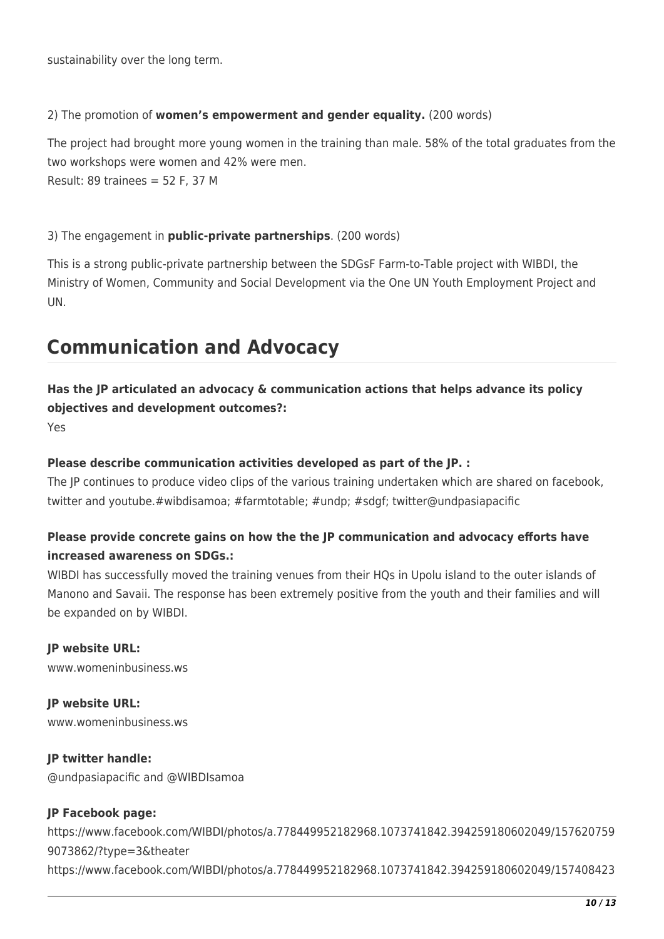sustainability over the long term.

#### 2) The promotion of **women's empowerment and gender equality.** (200 words)

The project had brought more young women in the training than male. 58% of the total graduates from the two workshops were women and 42% were men.

Result: 89 trainees = 52 F, 37 M

#### 3) The engagement in **public-private partnerships**. (200 words)

This is a strong public-private partnership between the SDGsF Farm-to-Table project with WIBDI, the Ministry of Women, Community and Social Development via the One UN Youth Employment Project and UN.

# **Communication and Advocacy**

### **Has the JP articulated an advocacy & communication actions that helps advance its policy objectives and development outcomes?:**

Yes

#### **Please describe communication activities developed as part of the JP. :**

The JP continues to produce video clips of the various training undertaken which are shared on facebook, twitter and youtube.#wibdisamoa; #farmtotable; #undp; #sdgf; twitter@undpasiapacific

### **Please provide concrete gains on how the the JP communication and advocacy efforts have increased awareness on SDGs.:**

WIBDI has successfully moved the training venues from their HQs in Upolu island to the outer islands of Manono and Savaii. The response has been extremely positive from the youth and their families and will be expanded on by WIBDI.

**JP website URL:**  www.womeninbusiness.ws

**JP website URL:**  www.womeninbusiness.ws

**JP twitter handle:**  @undpasiapacific and @WIBDIsamoa

#### **JP Facebook page:**

https://www.facebook.com/WIBDI/photos/a.778449952182968.1073741842.394259180602049/157620759 9073862/?type=3&theater https://www.facebook.com/WIBDI/photos/a.778449952182968.1073741842.394259180602049/157408423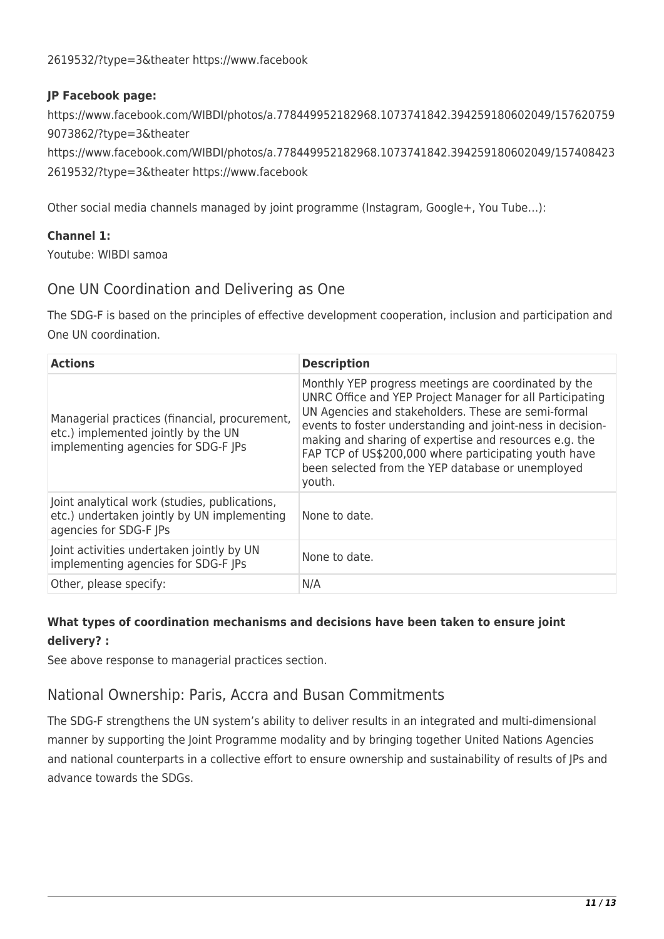#### **JP Facebook page:**

https://www.facebook.com/WIBDI/photos/a.778449952182968.1073741842.394259180602049/157620759 9073862/?type=3&theater

https://www.facebook.com/WIBDI/photos/a.778449952182968.1073741842.394259180602049/157408423 2619532/?type=3&theater https://www.facebook

Other social media channels managed by joint programme (Instagram, Google+, You Tube…):

#### **Channel 1:**

Youtube: WIBDI samoa

### One UN Coordination and Delivering as One

The SDG-F is based on the principles of effective development cooperation, inclusion and participation and One UN coordination.

| <b>Actions</b>                                                                                                              | <b>Description</b>                                                                                                                                                                                                                                                                                                                                                                                                       |
|-----------------------------------------------------------------------------------------------------------------------------|--------------------------------------------------------------------------------------------------------------------------------------------------------------------------------------------------------------------------------------------------------------------------------------------------------------------------------------------------------------------------------------------------------------------------|
| Managerial practices (financial, procurement,<br>etc.) implemented jointly by the UN<br>implementing agencies for SDG-F JPs | Monthly YEP progress meetings are coordinated by the<br>UNRC Office and YEP Project Manager for all Participating<br>UN Agencies and stakeholders. These are semi-formal<br>events to foster understanding and joint-ness in decision-<br>making and sharing of expertise and resources e.g. the<br>FAP TCP of US\$200,000 where participating youth have<br>been selected from the YEP database or unemployed<br>youth. |
| Joint analytical work (studies, publications,<br>etc.) undertaken jointly by UN implementing<br>agencies for SDG-F JPs      | None to date.                                                                                                                                                                                                                                                                                                                                                                                                            |
| Joint activities undertaken jointly by UN<br>implementing agencies for SDG-F JPs                                            | None to date.                                                                                                                                                                                                                                                                                                                                                                                                            |
| Other, please specify:                                                                                                      | N/A                                                                                                                                                                                                                                                                                                                                                                                                                      |

### **What types of coordination mechanisms and decisions have been taken to ensure joint delivery? :**

See above response to managerial practices section.

## National Ownership: Paris, Accra and Busan Commitments

The SDG-F strengthens the UN system's ability to deliver results in an integrated and multi-dimensional manner by supporting the Joint Programme modality and by bringing together United Nations Agencies and national counterparts in a collective effort to ensure ownership and sustainability of results of JPs and advance towards the SDGs.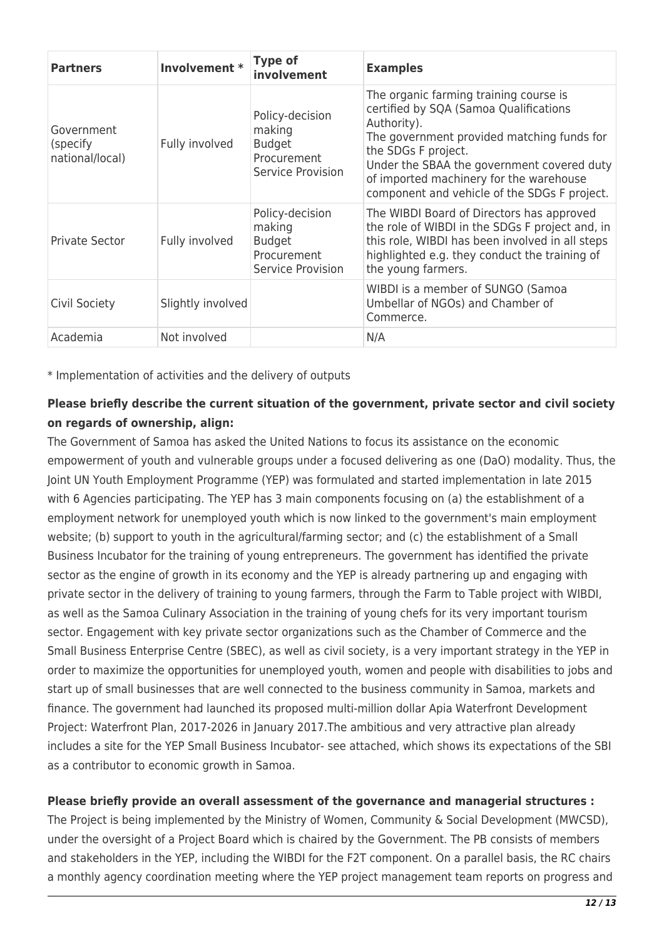| <b>Partners</b>                            | Involvement *     | <b>Type of</b><br>involvement                                                  | <b>Examples</b>                                                                                                                                                                                                                                                                                               |
|--------------------------------------------|-------------------|--------------------------------------------------------------------------------|---------------------------------------------------------------------------------------------------------------------------------------------------------------------------------------------------------------------------------------------------------------------------------------------------------------|
| Government<br>(specify)<br>national/local) | Fully involved    | Policy-decision<br>making<br><b>Budget</b><br>Procurement<br>Service Provision | The organic farming training course is<br>certified by SQA (Samoa Qualifications<br>Authority).<br>The government provided matching funds for<br>the SDGs F project.<br>Under the SBAA the government covered duty<br>of imported machinery for the warehouse<br>component and vehicle of the SDGs F project. |
| <b>Private Sector</b>                      | Fully involved    | Policy-decision<br>making<br><b>Budget</b><br>Procurement<br>Service Provision | The WIBDI Board of Directors has approved<br>the role of WIBDI in the SDGs F project and, in<br>this role, WIBDI has been involved in all steps<br>highlighted e.g. they conduct the training of<br>the young farmers.                                                                                        |
| Civil Society                              | Slightly involved |                                                                                | WIBDI is a member of SUNGO (Samoa<br>Umbellar of NGOs) and Chamber of<br>Commerce.                                                                                                                                                                                                                            |
| Academia                                   | Not involved      |                                                                                | N/A                                                                                                                                                                                                                                                                                                           |

\* Implementation of activities and the delivery of outputs

### **Please briefly describe the current situation of the government, private sector and civil society on regards of ownership, align:**

The Government of Samoa has asked the United Nations to focus its assistance on the economic empowerment of youth and vulnerable groups under a focused delivering as one (DaO) modality. Thus, the Joint UN Youth Employment Programme (YEP) was formulated and started implementation in late 2015 with 6 Agencies participating. The YEP has 3 main components focusing on (a) the establishment of a employment network for unemployed youth which is now linked to the government's main employment website; (b) support to youth in the agricultural/farming sector; and (c) the establishment of a Small Business Incubator for the training of young entrepreneurs. The government has identified the private sector as the engine of growth in its economy and the YEP is already partnering up and engaging with private sector in the delivery of training to young farmers, through the Farm to Table project with WIBDI, as well as the Samoa Culinary Association in the training of young chefs for its very important tourism sector. Engagement with key private sector organizations such as the Chamber of Commerce and the Small Business Enterprise Centre (SBEC), as well as civil society, is a very important strategy in the YEP in order to maximize the opportunities for unemployed youth, women and people with disabilities to jobs and start up of small businesses that are well connected to the business community in Samoa, markets and finance. The government had launched its proposed multi-million dollar Apia Waterfront Development Project: Waterfront Plan, 2017-2026 in January 2017.The ambitious and very attractive plan already includes a site for the YEP Small Business Incubator- see attached, which shows its expectations of the SBI as a contributor to economic growth in Samoa.

#### **Please briefly provide an overall assessment of the governance and managerial structures :**

The Project is being implemented by the Ministry of Women, Community & Social Development (MWCSD), under the oversight of a Project Board which is chaired by the Government. The PB consists of members and stakeholders in the YEP, including the WIBDI for the F2T component. On a parallel basis, the RC chairs a monthly agency coordination meeting where the YEP project management team reports on progress and